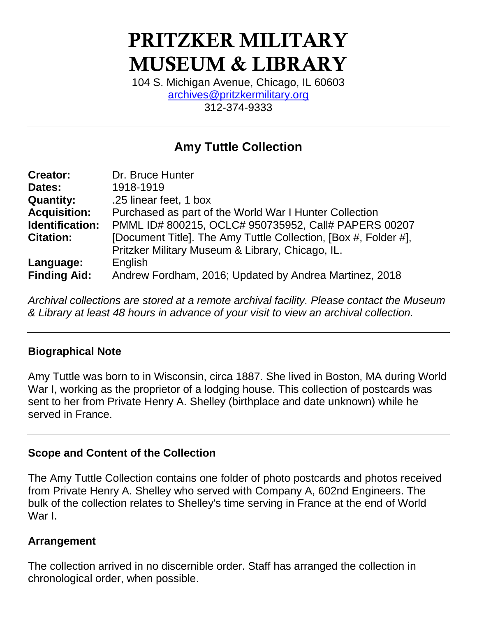# PRITZKER MILITARY MUSEUM & LIBRARY

104 S. Michigan Avenue, Chicago, IL 60603 [archives@pritzkermilitary.org](mailto:archives@pritzkermilitary.org) 312-374-9333

# **Amy Tuttle Collection**

| <b>Creator:</b>     | Dr. Bruce Hunter                                                |  |  |
|---------------------|-----------------------------------------------------------------|--|--|
| Dates:              | 1918-1919                                                       |  |  |
| <b>Quantity:</b>    | .25 linear feet, 1 box                                          |  |  |
| <b>Acquisition:</b> | Purchased as part of the World War I Hunter Collection          |  |  |
| Identification:     | PMML ID# 800215, OCLC# 950735952, Call# PAPERS 00207            |  |  |
| <b>Citation:</b>    | [Document Title]. The Amy Tuttle Collection, [Box #, Folder #], |  |  |
|                     | Pritzker Military Museum & Library, Chicago, IL.                |  |  |
| Language:           | English                                                         |  |  |
| <b>Finding Aid:</b> | Andrew Fordham, 2016; Updated by Andrea Martinez, 2018          |  |  |

*Archival collections are stored at a remote archival facility. Please contact the Museum & Library at least 48 hours in advance of your visit to view an archival collection.*

#### **Biographical Note**

Amy Tuttle was born to in Wisconsin, circa 1887. She lived in Boston, MA during World War I, working as the proprietor of a lodging house. This collection of postcards was sent to her from Private Henry A. Shelley (birthplace and date unknown) while he served in France.

#### **Scope and Content of the Collection**

The Amy Tuttle Collection contains one folder of photo postcards and photos received from Private Henry A. Shelley who served with Company A, 602nd Engineers. The bulk of the collection relates to Shelley's time serving in France at the end of World War I.

#### **Arrangement**

The collection arrived in no discernible order. Staff has arranged the collection in chronological order, when possible.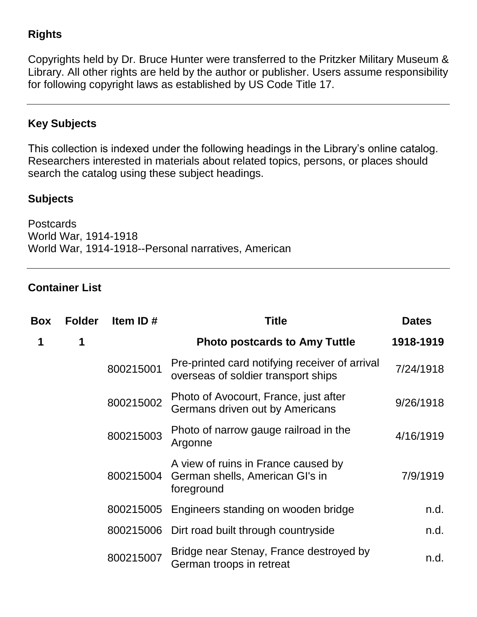## **Rights**

Copyrights held by Dr. Bruce Hunter were transferred to the Pritzker Military Museum & Library. All other rights are held by the author or publisher. Users assume responsibility for following copyright laws as established by US Code Title 17.

## **Key Subjects**

This collection is indexed under the following headings in the Library's online catalog. Researchers interested in materials about related topics, persons, or places should search the catalog using these subject headings.

#### **Subjects**

Postcards World War, 1914-1918 World War, 1914-1918--Personal narratives, American

#### **Container List**

| Box | <b>Folder</b> | Item ID#  | <b>Title</b>                                                                          | <b>Dates</b> |
|-----|---------------|-----------|---------------------------------------------------------------------------------------|--------------|
| 1   | 1             |           | <b>Photo postcards to Amy Tuttle</b>                                                  | 1918-1919    |
|     |               | 800215001 | Pre-printed card notifying receiver of arrival<br>overseas of soldier transport ships | 7/24/1918    |
|     |               | 800215002 | Photo of Avocourt, France, just after<br>Germans driven out by Americans              | 9/26/1918    |
|     |               | 800215003 | Photo of narrow gauge railroad in the<br>Argonne                                      | 4/16/1919    |
|     |               | 800215004 | A view of ruins in France caused by<br>German shells, American Gl's in<br>foreground  | 7/9/1919     |
|     |               | 800215005 | Engineers standing on wooden bridge                                                   | n.d.         |
|     |               |           | 800215006 Dirt road built through countryside                                         | n.d.         |
|     |               | 800215007 | Bridge near Stenay, France destroyed by<br>German troops in retreat                   | n.d.         |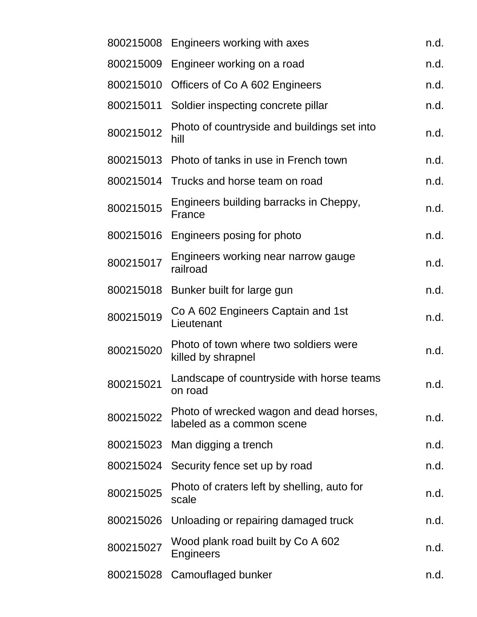| 800215008 | Engineers working with axes                                          | n.d. |
|-----------|----------------------------------------------------------------------|------|
| 800215009 | Engineer working on a road                                           | n.d. |
| 800215010 | Officers of Co A 602 Engineers                                       | n.d. |
| 800215011 | Soldier inspecting concrete pillar                                   | n.d. |
| 800215012 | Photo of countryside and buildings set into<br>hill                  | n.d. |
| 800215013 | Photo of tanks in use in French town                                 | n.d. |
| 800215014 | Trucks and horse team on road                                        | n.d. |
| 800215015 | Engineers building barracks in Cheppy,<br>France                     | n.d. |
| 800215016 | Engineers posing for photo                                           | n.d. |
| 800215017 | Engineers working near narrow gauge<br>railroad                      | n.d. |
| 800215018 | Bunker built for large gun                                           | n.d. |
| 800215019 | Co A 602 Engineers Captain and 1st<br>Lieutenant                     | n.d. |
| 800215020 | Photo of town where two soldiers were<br>killed by shrapnel          | n.d. |
| 800215021 | Landscape of countryside with horse teams<br>on road                 | n.d. |
| 800215022 | Photo of wrecked wagon and dead horses,<br>labeled as a common scene | n.d. |
|           | 800215023 Man digging a trench                                       | n.d. |
| 800215024 | Security fence set up by road                                        | n.d. |
| 800215025 | Photo of craters left by shelling, auto for<br>scale                 | n.d. |
| 800215026 | Unloading or repairing damaged truck                                 | n.d. |
| 800215027 | Wood plank road built by Co A 602<br>Engineers                       | n.d. |
| 800215028 | Camouflaged bunker                                                   | n.d. |